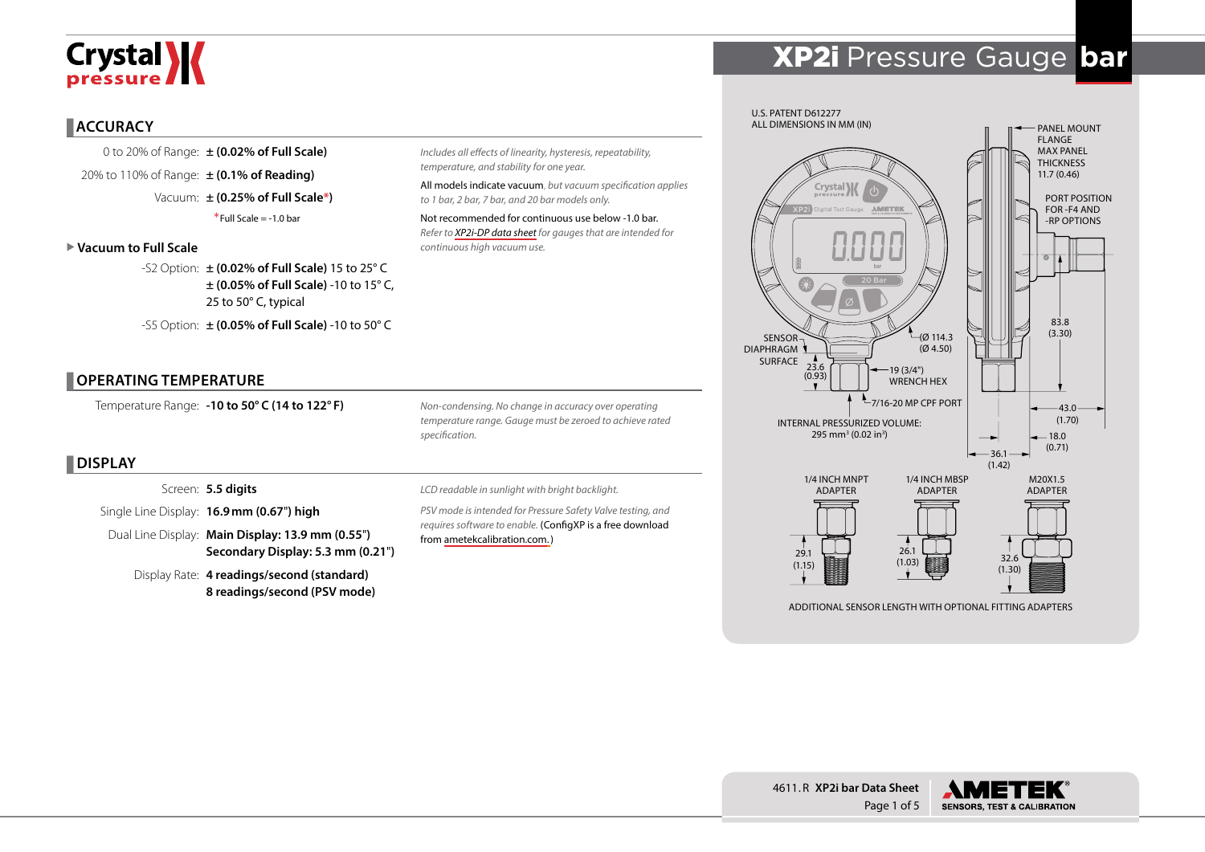# Crystal **X**

# XP2i Pressure Gauge **bar**

### **ACCURACY**

0 to 20% of Range: **± (0.02% of Full Scale)** 20% to 110% of Range: **± (0.1% of Reading)** Vacuum: **± (0.25% of Full Scale\*)**  $*$ Full Scale =  $-1.0$  bar

#### X **Vacuum to Full Scale**

-S2 Option: **± (0.02% of Full Scale)** 15 to 25° C **± (0.05% of Full Scale)** -10 to 15° C, 25 to 50° C, typical

-S5 Option: **± (0.05% of Full Scale)** -10 to 50° C

#### **OPERATING TEMPERATURE**

Temperature Range: **-10 to 50° C (14 to 122° F)**

*Non-condensing. No change in accuracy over operating temperature range. Gauge must be zeroed to achieve rated specification.*

*Includes all effects of linearity, hysteresis, repeatability,* 

Not recommended for continuous use below -1.0 bar. *Refer to [XP2i-DP data sheet](http://www.ametekcalibration.com/products/pressure/digital-pressure-gauges/xp2i-dp-differential-pressure-gauge) for gauges that are intended for* 

All models indicate vacuum, *but vacuum specification applies* 

*temperature, and stability for one year.*

*continuous high vacuum use.* 

*to 1 bar, 2 bar, 7 bar, and 20 bar models only.*

# **DISPLAY**

Screen: **5.5 digits**

Single Line Display: **16.9mm (0.67**"**) high**

Dual Line Display: **Main Display: 13.9 mm (0.55**"**) Secondary Display: 5.3 mm (0.21**"**)**

Display Rate: **4 readings/second (standard) 8 readings/second (PSV mode)** *LCD readable in sunlight with bright backlight.*

*PSV mode is intended for Pressure Safety Valve testing, and requires software to enable.* (ConfigXP is a free download from [ametekcalibration.com.\)](http://www.ametekcalibration.com/products/software/configuration-software/configxp-configuration-software)



ADDITIONAL SENSOR LENGTH WITH OPTIONAL FITTING ADAPTERS



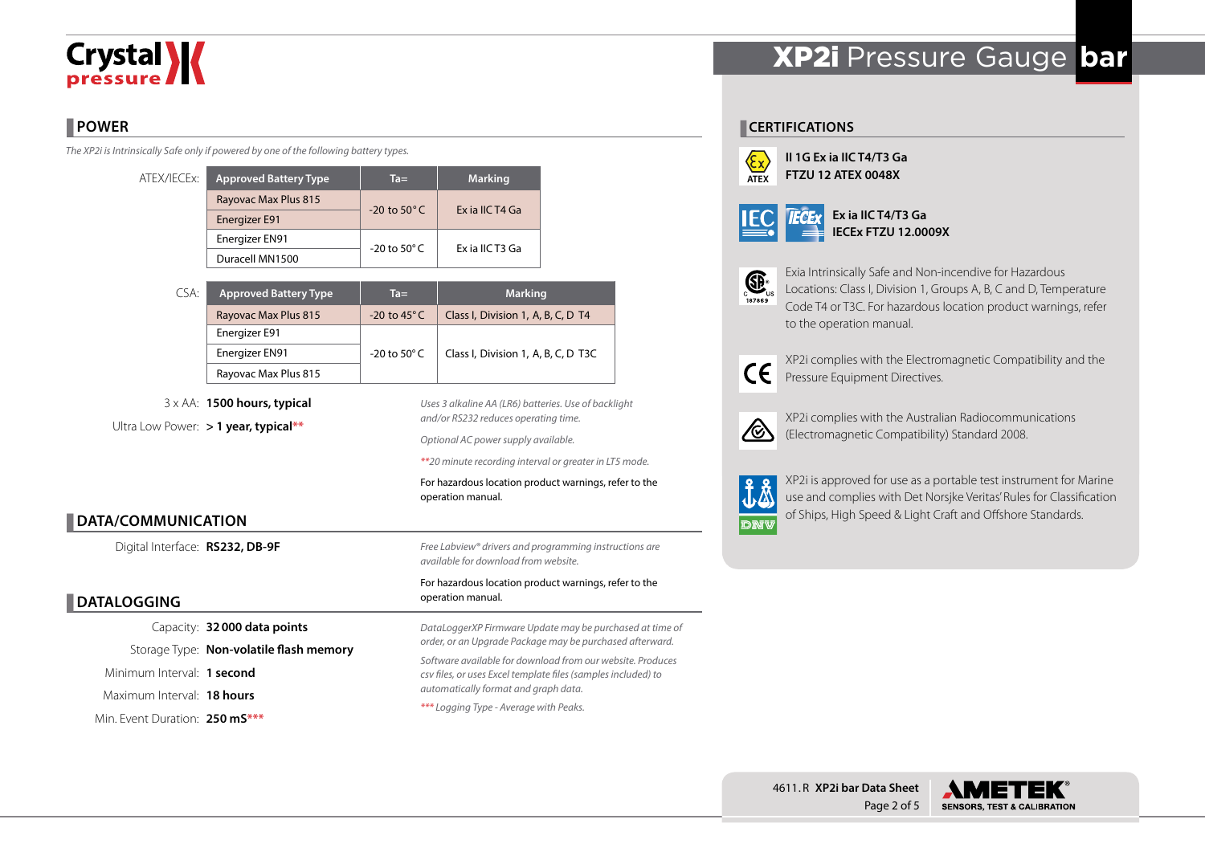# **Crystal >>>>**

# **POWER**

*The XP2i is Intrinsically Safe only if powered by one of the following battery types.*

| ATEX/IECEx: | <b>Approved Battery Type</b> | $Ta =$                   | <b>Marking</b>  |  |  |
|-------------|------------------------------|--------------------------|-----------------|--|--|
|             | Rayovac Max Plus 815         | $-20$ to $50^{\circ}$ C  | Ex ia IIC T4 Ga |  |  |
|             | Energizer E91                |                          |                 |  |  |
|             | Energizer EN91               | $-20$ to 50 $^{\circ}$ C | Ex ia IIC T3 Ga |  |  |
|             | Duracell MN1500              |                          |                 |  |  |

| CSA: | <b>Approved Battery Type</b> | $Ta =$                  | <b>Marking</b>                      |  |  |
|------|------------------------------|-------------------------|-------------------------------------|--|--|
|      | Rayovac Max Plus 815         | $-20$ to 45 $\degree$ C | Class I, Division 1, A, B, C, D T4  |  |  |
|      | Energizer E91                |                         |                                     |  |  |
|      | Energizer EN91               | -20 to 50 $^{\circ}$ C  | Class I, Division 1, A, B, C, D T3C |  |  |
|      | Rayovac Max Plus 815         |                         |                                     |  |  |

3 x AA: **1500 hours, typical** Ultra Low Power: **> 1 year, typical\*\***

*Uses 3 alkaline AA (LR6) batteries. Use of backlight and/or RS232 reduces operating time.*

*Optional AC power supply available.*

*\*\*20 minute recording interval or greater in LT5 mode.*

For hazardous location product warnings, refer to the operation manual.

# **DATA/COMMUNICATION**

Digital Interface: **RS232, DB-9F**

# **DATALOGGING**

Capacity: **32000 data points** Storage Type: **Non-volatile flash memory** Minimum Interval: **1 second** Maximum Interval: **18 hours** Min. Event Duration: **250 mS\*\*\***

*Free Labview® drivers and programming instructions are available for download from website.*

#### For hazardous location product warnings, refer to the operation manual.

*DataLoggerXP Firmware Update may be purchased at time of order, or an Upgrade Package may be purchased afterward. Software available for download from our website. Produces csv files, or uses Excel template files (samples included) to automatically format and graph data. \*\*\* Logging Type - Average with Peaks.*

# XP2i Pressure Gauge **bar**

## **CERTIFICATIONS**



**II 1G Ex ia IIC T4/T3 Ga FTZU 12 ATEX 0048X**

|--|--|

**Ex ia IIC T4/T3 Ga IECEx FTZU 12.0009X**



Exia Intrinsically Safe and Non-incendive for Hazardous Locations: Class I, Division 1, Groups A, B, C and D, Temperature

Code T4 or T3C. For hazardous location product warnings, refer to the operation manual.



XP2i complies with the Electromagnetic Compatibility and the Pressure Equipment Directives.



XP2i complies with the Australian Radiocommunications (Electromagnetic Compatibility) Standard 2008.



XP2i is approved for use as a portable test instrument for Marine use and complies with Det Norsjke Veritas' Rules for Classification of Ships, High Speed & Light Craft and Offshore Standards.



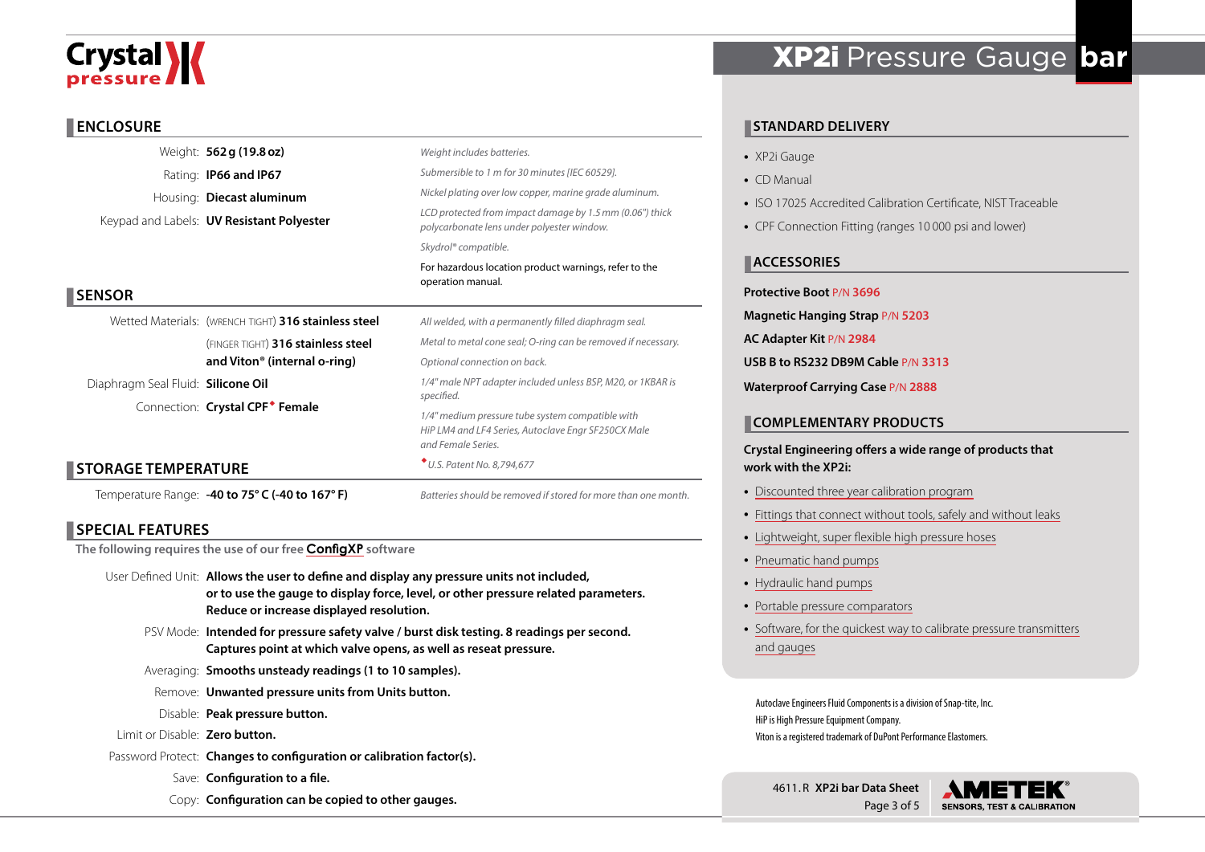# Crystal **X**

### **ENCLOSURE**

|                                    | Weight: 562 g (19.8 oz)                              | Weight includes batteries.                                                                                                    |  |  |  |  |
|------------------------------------|------------------------------------------------------|-------------------------------------------------------------------------------------------------------------------------------|--|--|--|--|
|                                    | Rating: <b>IP66 and IP67</b>                         | Submersible to 1 m for 30 minutes [IEC 60529].                                                                                |  |  |  |  |
|                                    | Housing: Diecast aluminum                            | Nickel plating over low copper, marine grade aluminum.                                                                        |  |  |  |  |
|                                    | Keypad and Labels: <b>UV Resistant Polyester</b>     | LCD protected from impact damage by 1.5 mm (0.06") thick<br>polycarbonate lens under polyester window.                        |  |  |  |  |
|                                    |                                                      | Skydrol® compatible.                                                                                                          |  |  |  |  |
|                                    |                                                      | For hazardous location product warnings, refer to the<br>operation manual.                                                    |  |  |  |  |
| <b>SENSOR</b>                      |                                                      |                                                                                                                               |  |  |  |  |
|                                    | Wetted Materials: (WRENCH TIGHT) 316 stainless steel | All welded, with a permanently filled diaphragm seal.                                                                         |  |  |  |  |
|                                    | (FINGER TIGHT) 316 stainless steel                   | Metal to metal cone seal; O-ring can be removed if necessary.<br>Optional connection on back.                                 |  |  |  |  |
|                                    | and Viton <sup>®</sup> (internal o-ring)             |                                                                                                                               |  |  |  |  |
| Diaphragm Seal Fluid: Silicone Oil |                                                      | 1/4" male NPT adapter included unless BSP, M20, or 1KBAR is                                                                   |  |  |  |  |
|                                    | Connection: Crystal CPF <sup>*</sup> Female          | specified.                                                                                                                    |  |  |  |  |
|                                    |                                                      | 1/4" medium pressure tube system compatible with<br>HiP LM4 and LF4 Series, Autoclave Engr SF250CX Male<br>and Female Series. |  |  |  |  |
| <b>STORAGE TEMPERATURE</b>         |                                                      | * U.S. Patent No. 8,794,677                                                                                                   |  |  |  |  |
|                                    | Temperature Range: -40 to 75° C (-40 to 167° F)      | Batteries should be removed if stored for more than one month.                                                                |  |  |  |  |

# **SPECIAL FEATURES**

**The following requires the use of our free [ConfigXP](http://www.ametekcalibration.com/products/software/configuration-software/configxp-configuration-software) software**

- User Defined Unit: **Allows the user to define and display any pressure units not included, or to use the gauge to display force, level, or other pressure related parameters. Reduce or increase displayed resolution.**
	- PSV Mode: **Intended for pressure safety valve / burst disk testing. 8 readings per second. Captures point at which valve opens, as well as reseat pressure.**
	- Averaging: **Smooths unsteady readings (1 to 10 samples).**
	- Remove: **Unwanted pressure units from Units button.**
	- Disable: **Peak pressure button.**
- Limit or Disable: **Zero button.**
- Password Protect: **Changes to configuration or calibration factor(s).**
	- Save: **Configuration to a file.**
	- Copy: **Configuration can be copied to other gauges.**

# XP2i Pressure Gauge **bar**

# **STANDARD DELIVERY**

- XP2i Gauge
- CD Manual
- ISO 17025 Accredited Calibration Certificate, NIST Traceable
- CPF Connection Fitting (ranges 10 000 psi and lower)

# **ACCESSORIES**

### **Protective Boot** P/N **3696**

- **Magnetic Hanging Strap** P/N **5203**
- **AC Adapter Kit** P/N **2984**

**USB B to RS232 DB9M Cable** P/N **3313**

**Waterproof Carrying Case** P/N **2888**

## **COMPLEMENTARY PRODUCTS**

### **Crystal Engineering offers a wide range of products that work with the XP2i:**

- [Discounted three year calibration program](http://www.ametekcalibration.com/-/media/ametekcalibration/download_links/pressure/xp2i/ametekcal%20flyer.pdf)
- [Fittings that connect without tools, safely and without leaks](http://www.ametekcalibration.com/products/pump-systems/pressure-fittings/cpf-crystal-pressure-fittings)
- [Lightweight, super flexible high pressure hoses](http://www.ametekcalibration.com/products/pump-systems/pressure-fittings/cpf-crystal-pressure-fittings)
- [Pneumatic hand pumps](http://www.ametekcalibration.com/products/pump-systems/pneumatic-hand-pumps/t-900-series-pneumatic-hand-pump)
- [Hydraulic hand pumps](http://www.ametekcalibration.com/products/pump-systems/hydraulic-hand-pumps/t-600-series-hydraulic-hand-pump)
- [Portable pressure comparators](http://www.ametekcalibration.com/products/pump-systems/pressure-comparators)
- [Software, for the quickest way to calibrate pressure transmitters](http://www.ametekcalibration.com/products/software/calibration-software/fastcalxp-calibration-software) [and gauges](http://www.ametekcalibration.com/products/software/calibration-software/fastcalxp-calibration-software)

Autoclave Engineers Fluid Components is a division of Snap-tite, Inc. HiP is High Pressure Equipment Company. Viton is a registered trademark of DuPont Performance Elastomers.

4611. R **XP2i bar Data Sheet** Page 3 of 5

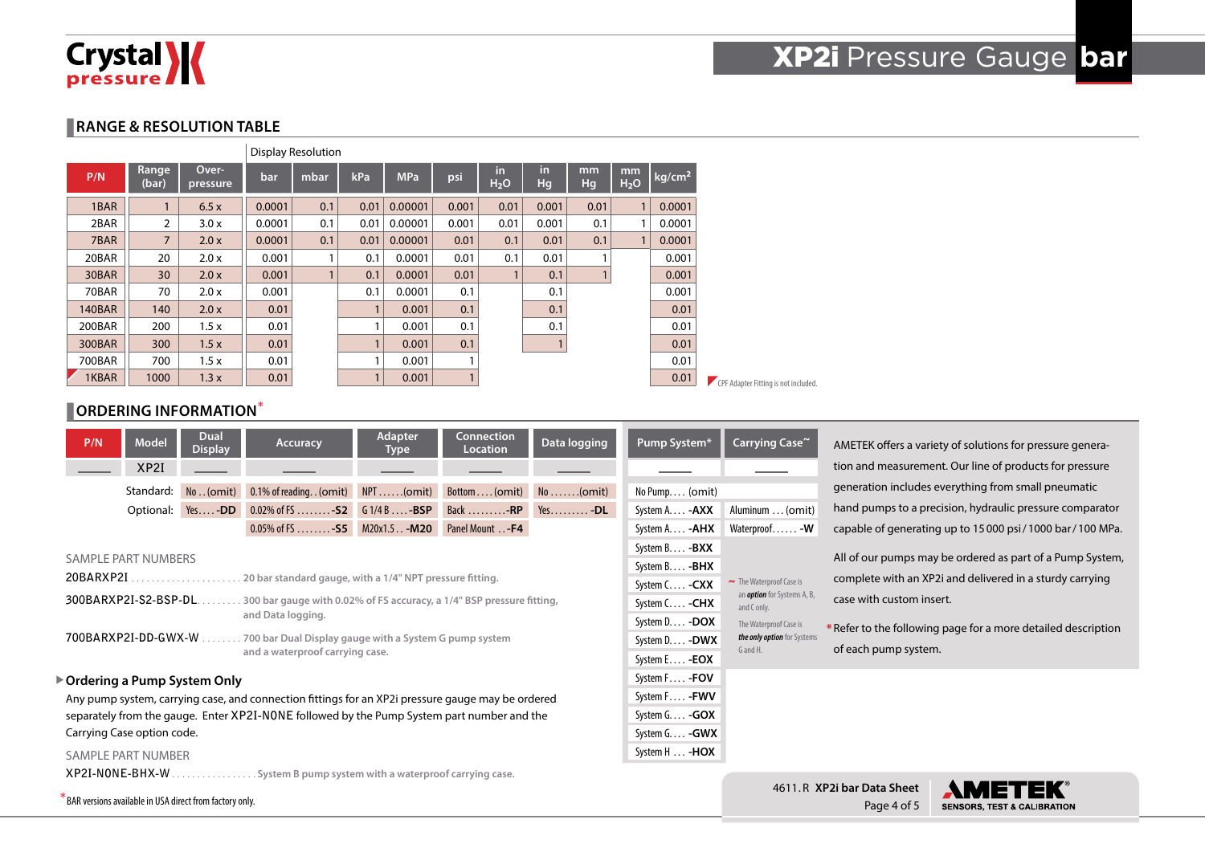

### **RANGE & RESOLUTION TABLE**

|               |                |                   |        | <b>Display Resolution</b> |      |            |       |                        |          |          |                        |                    |
|---------------|----------------|-------------------|--------|---------------------------|------|------------|-------|------------------------|----------|----------|------------------------|--------------------|
| P/N           | Range<br>(bar) | Over-<br>pressure | bar    | mbar                      | kPa  | <b>MPa</b> | psi   | in<br>H <sub>2</sub> O | in<br>Hq | mm<br>Hg | mm<br>H <sub>2</sub> O | kg/cm <sup>2</sup> |
| 1BAR          |                | 6.5x              | 0.0001 | 0.1                       | 0.01 | 0.00001    | 0.001 | 0.01                   | 0.001    | 0.01     | 1                      | 0.0001             |
| 2BAR          | $\overline{2}$ | 3.0x              | 0.0001 | 0.1                       | 0.01 | 0.00001    | 0.001 | 0.01                   | 0.001    | 0.1      | 1                      | 0.0001             |
| 7BAR          | $\overline{7}$ | 2.0x              | 0.0001 | 0.1                       | 0.01 | 0.00001    | 0.01  | 0.1                    | 0.01     | 0.1      | 1                      | 0.0001             |
| 20BAR         | 20             | 2.0 x             | 0.001  |                           | 0.1  | 0.0001     | 0.01  | 0.1                    | 0.01     |          |                        | 0.001              |
| 30BAR         | 30             | 2.0x              | 0.001  |                           | 0.1  | 0.0001     | 0.01  |                        | 0.1      |          |                        | 0.001              |
| 70BAR         | 70             | 2.0 x             | 0.001  |                           | 0.1  | 0.0001     | 0.1   |                        | 0.1      |          |                        | 0.001              |
| <b>140BAR</b> | 140            | 2.0x              | 0.01   |                           |      | 0.001      | 0.1   |                        | 0.1      |          |                        | 0.01               |
| 200BAR        | 200            | 1.5x              | 0.01   |                           |      | 0.001      | 0.1   |                        | 0.1      |          |                        | 0.01               |
| 300BAR        | 300            | 1.5x              | 0.01   |                           |      | 0.001      | 0.1   |                        |          |          |                        | 0.01               |
| 700BAR        | 700            | 1.5x              | 0.01   |                           |      | 0.001      |       |                        |          |          |                        | 0.01               |
| 1KBAR         | 1000           | 1.3x              | 0.01   |                           |      | 0.001      |       |                        |          |          |                        | 0.01               |

| лудын  |                                     |
|--------|-------------------------------------|
| 0.0001 |                                     |
| 0.0001 |                                     |
| 0.0001 |                                     |
| 0.001  |                                     |
| 0.001  |                                     |
| 0.001  |                                     |
| 0.01   |                                     |
| 0.01   |                                     |
| 0.01   |                                     |
| 0.01   |                                     |
| 0.01   | CPF Adapter Fitting is not included |
|        |                                     |

### **CORDERING INFORMATION**\*

|                            | P/N                                                                                                                                                                                                                                                                                                                                           | <b>Model</b> | <b>Dual</b><br><b>Display</b>                           | Accuracy                                                                                          | <b>Adapter</b><br>Type | <b>Connection</b><br><b>Location</b> | Data logging                                                                                                                                    | Pump System*                                                                                                                                            | Carrying Case~                                   |                                                                                                                                                                                        | AMETEK offers a variety of solutions for pressure genera- |
|----------------------------|-----------------------------------------------------------------------------------------------------------------------------------------------------------------------------------------------------------------------------------------------------------------------------------------------------------------------------------------------|--------------|---------------------------------------------------------|---------------------------------------------------------------------------------------------------|------------------------|--------------------------------------|-------------------------------------------------------------------------------------------------------------------------------------------------|---------------------------------------------------------------------------------------------------------------------------------------------------------|--------------------------------------------------|----------------------------------------------------------------------------------------------------------------------------------------------------------------------------------------|-----------------------------------------------------------|
|                            |                                                                                                                                                                                                                                                                                                                                               | XP2I         |                                                         |                                                                                                   |                        |                                      |                                                                                                                                                 |                                                                                                                                                         |                                                  |                                                                                                                                                                                        | tion and measurement. Our line of products for pressure   |
|                            |                                                                                                                                                                                                                                                                                                                                               | Standard:    |                                                         | $No(omit)$ 0.1% of reading. . (omit) $NPT$ (omit)                                                 |                        | Bottom (omit)                        | $No \ldots (omit)$                                                                                                                              | No Pump (omit)                                                                                                                                          |                                                  |                                                                                                                                                                                        | generation includes everything from small pneumatic       |
|                            |                                                                                                                                                                                                                                                                                                                                               |              | Optional: Yes-DD                                        | 0.02% of FS - <b>S2</b> G 1/4 B - <b>BSP</b>                                                      |                        | Back -RP Yes -DL                     |                                                                                                                                                 | System A - <b>AXX</b>                                                                                                                                   | Aluminum  (omit)                                 |                                                                                                                                                                                        | hand pumps to a precision, hydraulic pressure comparator  |
|                            |                                                                                                                                                                                                                                                                                                                                               |              |                                                         | $0.05\%$ of FS - S5 M20x1.5. . - M20                                                              |                        | Panel Mount - F4                     |                                                                                                                                                 | System A. <b>-AHX</b>                                                                                                                                   | Waterproof - W                                   |                                                                                                                                                                                        | capable of generating up to 15000 psi/1000 bar/100 MPa.   |
|                            | SAMPLE PART NUMBERS<br>20BARXP2I.<br>20 bar standard gauge, with a 1/4" NPT pressure fitting.<br>.<br>300BARXP2I-S2-BSP-DL.<br>300 bar gauge with 0.02% of FS accuracy, a 1/4" BSP pressure fitting,<br>and Data logging.<br>700BARXP2I-DD-GWX-W<br>700 bar Dual Display gauge with a System G pump system<br>and a waterproof carrying case. |              |                                                         |                                                                                                   |                        |                                      | System B - <b>BXX</b><br>System B - <b>BHX</b><br>System C - CXX<br>System C - CHX<br>System D - DOX<br>System D - DWX<br>System E - <b>EOX</b> | $\sim$ The Waterproof Case is<br>an <i>option</i> for Systems A, B,<br>and C only.<br>The Waterproof Case is<br>the only option for Systems<br>G and H. | case with custom insert.<br>of each pump system. | All of our pumps may be ordered as part of a Pump System,<br>complete with an XP2i and delivered in a sturdy carrying<br>* Refer to the following page for a more detailed description |                                                           |
|                            |                                                                                                                                                                                                                                                                                                                                               |              | ▶ Ordering a Pump System Only                           |                                                                                                   |                        |                                      |                                                                                                                                                 | System F - FOV                                                                                                                                          |                                                  |                                                                                                                                                                                        |                                                           |
|                            |                                                                                                                                                                                                                                                                                                                                               |              |                                                         | Any pump system, carrying case, and connection fittings for an XP2i pressure gauge may be ordered |                        |                                      |                                                                                                                                                 | System F - FWV                                                                                                                                          |                                                  |                                                                                                                                                                                        |                                                           |
|                            |                                                                                                                                                                                                                                                                                                                                               |              |                                                         | separately from the gauge. Enter XP2I-NONE followed by the Pump System part number and the        |                        |                                      |                                                                                                                                                 | System $G. \ldots -GOX$                                                                                                                                 |                                                  |                                                                                                                                                                                        |                                                           |
| Carrying Case option code. |                                                                                                                                                                                                                                                                                                                                               |              |                                                         |                                                                                                   |                        |                                      | System G - GWX                                                                                                                                  |                                                                                                                                                         |                                                  |                                                                                                                                                                                        |                                                           |
| <b>SAMPLE PART NUMBER</b>  |                                                                                                                                                                                                                                                                                                                                               |              |                                                         |                                                                                                   |                        |                                      | System H  - <b>HOX</b>                                                                                                                          |                                                                                                                                                         |                                                  |                                                                                                                                                                                        |                                                           |
|                            | XP2I-NONE-BHX-W.                                                                                                                                                                                                                                                                                                                              |              |                                                         | System B pump system with a waterproof carrying case.                                             |                        |                                      |                                                                                                                                                 |                                                                                                                                                         |                                                  |                                                                                                                                                                                        |                                                           |
|                            |                                                                                                                                                                                                                                                                                                                                               |              | BAR versions available in USA direct from factory only. |                                                                                                   |                        |                                      |                                                                                                                                                 |                                                                                                                                                         |                                                  | 4611.R XP2i bar Data Sheet<br>$D \cap \cap \cap A \cap f$                                                                                                                              | AME I<br>CENCODE TEST & CALIBRATION                       |



Page 4 of 5